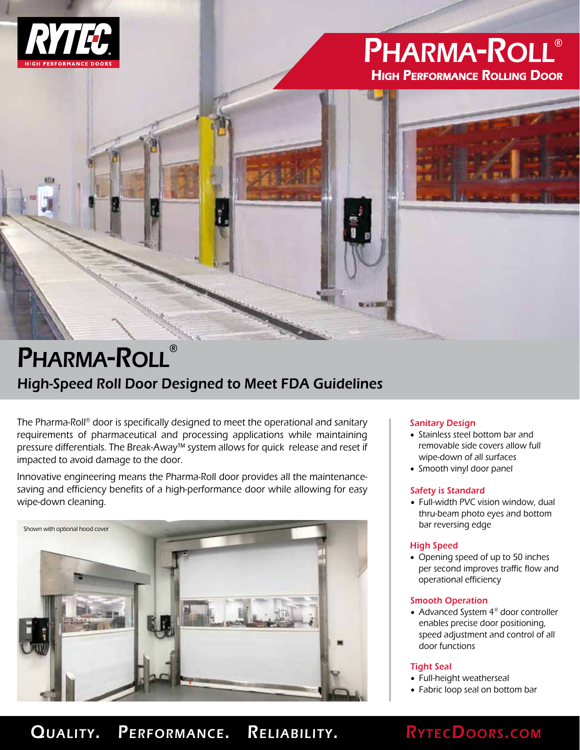

# PHARMA-ROLL® **HIGH PERFORMANCE ROLLING DOOR**



The Pharma-Roll® door is specifically designed to meet the operational and sanitary requirements of pharmaceutical and processing applications while maintaining pressure differentials. The Break-Away™ system allows for quick release and reset if impacted to avoid damage to the door.

Innovative engineering means the Pharma-Roll door provides all the maintenancesaving and efficiency benefits of a high-performance door while allowing for easy wipe-down cleaning.



#### Sanitary Design

- Stainless steel bottom bar and removable side covers allow full wipe-down of all surfaces
- Smooth vinyl door panel

#### Safety is Standard

• Full-width PVC vision window, dual thru-beam photo eyes and bottom bar reversing edge

#### High Speed

• Opening speed of up to 50 inches per second improves traffic flow and operational efficiency

#### Smooth Operation

• Advanced System 4<sup>®</sup> door controller enables precise door positioning, speed adjustment and control of all door functions

#### Tight Seal

- Full-height weatherseal
- Fabric loop seal on bottom bar

## QUALITY. PERFORMANCE. RELIABILITY. RYTECDOORS.COM